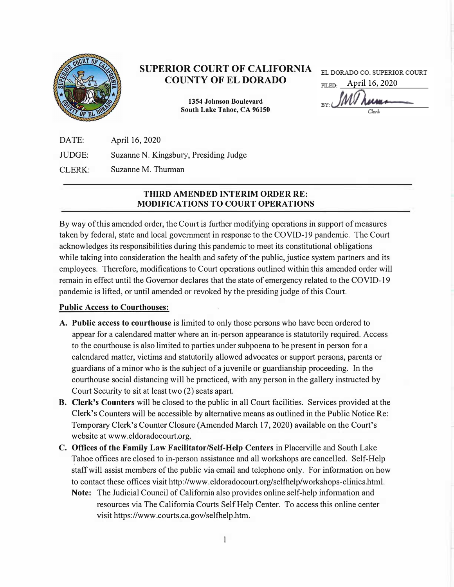

# SUPERIOR COURT OF CALIFORNIA COUNTY OF ELDORADO

1354 Johnson Boulevard South Lake Tahoe, CA 96150 EL DORADO CO. SUPERIOR COURT

April 16, 2020EILED-

DATE: JUDGE: CLERK: April 16, 2020 Suzanne N. Kingsbury, Presiding Judge Suzanne M. Thurman

## THIRD AMENDED INTERIM ORDER RE: MODIFICATIONS TO COURT OPERATIONS

By way of this amended order, the Court is further modifying operations in support of measures taken by federal, state and local government in response to the COVID-19 pandemic. The Comt acknowledges its responsibilities during this pandemic to meet its constitutional obligations while taking into consideration the health and safety of the public, justice system partners and its employees. Therefore, modifications to Court operations outlined within this amended order will remain in effect until the Governor declares that the state of emergency related to the COVID-19 pandemic is lifted, or until amended or revoked by the presiding judge of this Comt.

## Public Access to Courthouses:

- A. Public access to courthouse is limited to only those persons who have been ordered to appear for a calendared matter where an in-person appearance is statutorily required. Access to the courthouse is also limited to parties under subpoena to be present in person for a calendared matter, victims and statutorily allowed advocates or support persons, parents or guardians of a minor who is the subject of a juvenile or guardianship proceeding. In the comthouse social distancing will be practiced, with any person in the gallery instmcted by Court Security to sit at least two (2) seats apart.
- **B. Clerk's Counters** will be closed to the public in all Court facilities. Services provided at the Clerk's Counters will be accessible by alternative means as outlined in the Public Notice Re: Temporary Clerk's Counter Closure (Amended March 17, 2020) available on the Court's website at www.eldoradocourt.org.
- C. Offices of the Family Law Facilitator/Self-Help Centers in Placerville and South Lake Tahoe offices are closed to in-person assistance and all workshops are cancelled. Self-Help staff will assist members of the public via email and telephone only. For information on how to contact these offices visit http://www.eldoradocourt.org/selfhelp/workshops-clinics.html.
	- Note: The Judicial Council of California also provides online self-help information and resources via The California Courts Self Help Center. To access this online center visit https://www.courts.ca.gov/selfhelp.htm.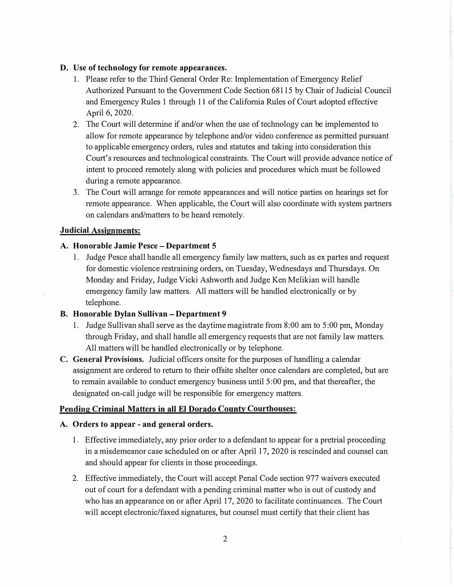#### D. Use of technology for remote appearances.

- 1. Please refer to the Third General Order Re: Implementation of Emergency Relief Authorized Pursuant to the Government Code Section 68115 by Chair of Judicial Council and Emergency Rules 1 through 11 of the California Rules of Court adopted effective April 6, 2020.
- 2. The Court will determine if and/or when the use of technology can be implemented to allow for remote appearance by telephone and/or video conference as permitted pursuant to applicable emergency orders, mles and statutes and taking into consideration this Court's resources and technological constraints. The Comt will provide advance notice of intent to proceed remotely along with policies and procedures which must be followed during a remote appearance.
- 3. The Court will arrange for remote appearances and will notice parties on hearings set for remote appearance. When applicable, the Court will also coordinate with system partners on calendars and/matters to be heard remotely.

#### Judicial Assignments:

#### A. Honorable Jamie Pesce-Department 5

1. Judge Pesce shall handle all emergency family law matters, such as ex pattes and request for domestic violence restraining orders, on Tuesday, Wednesdays and Thursdays. On Monday and Friday, Judge Vicki Ashworth and Judge Ken Melikian will handle emergency family law matters. All matters will be handled electronically or by telephone.

## B. Honorable Dylan Sullivan - Department 9

- 1. Judge Sullivan shall serve as the daytime magistrate from 8:00 am to 5:00 pm, Monday through Friday, and shall handle all emergency requests that are not family law matters. All matters will be handled electronically or by telephone.
- C. General Provisions. Judicial officers onsite for the purposes of handling a calendar assignment are ordered to retum to their offsite shelter once calendars are completed, but are to remain available to conduct emergency business until 5:00 pm, and that thereafter, the designated on-call judge will be responsible for emergency matters.

## Pending Criminal Matters in all El Dorado County Courthouses:

#### A. Orders to appear - and general orders.

- 1. Effective immediately, any prior order to a defendant to appear for a pretrial proceeding in a misdemeanor case scheduled on or after April 17, 2020 is rescinded and counsel can and should appear for clients in those proceedings.
- 2. Effective immediately, the Court will accept Penal Code section 977 waivers executed out of court for a defendant with a pending criminal matter who is out of custody and who has an appearance on or after April 17, 2020 to facilitate continuances. The Court will accept electronic/faxed signatures, but counsel must certify that their client has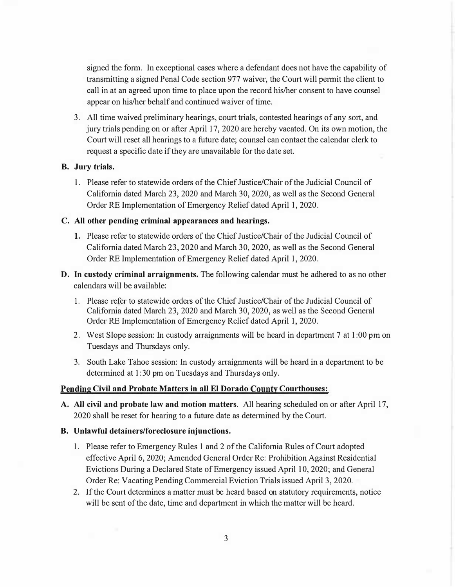signed the form. In exceptional cases where a defendant does not have the capability of transmitting a signed Penal Code section 977 waiver, the Court will permit the client to call in at an agreed upon time to place upon the record his/her consent to have counsel appear on his/her behalf and continued waiver of time.

3. All time waived preliminary hearings, court trials, contested hearings of any sort, and jury trials pending on or after April 17, 2020 are hereby vacated. On its own motion, the Court will reset all hearings to a future date; counsel can contact the calendar clerk to request a specific date if they are unavailable for the date set.

#### B. Jury trials.

1. Please refer to statewide orders of the Chief Justice/Chair of the Judicial Council of Califomia dated March 23, 2020 and March 30,2020, as well as the Second General Order RE Implementation of Emergency Relief dated April 1, 2020.

#### C. All other pending criminal appearances and hearings.

- 1. Please refer to statewide orders of the Chief Justice/Chair of the Judicial Council of Califomia dated March 23, 2020 and March 30, 2020, as well as the Second General Order RE Implementation of Emergency Relief dated April 1, 2020.
- D. In custody criminal arraignments. The following calendar must be adhered to as no other calendars will be available:
	- 1. Please refer to statewide orders of the Chief Justice/Chair of the Judicial Council of Califomia dated March 23, 2020 and March 30,2020, as well as the Second General Order RE Implementation of Emergency Relief dated April 1, 2020.
	- 2. West Slope session: In custody arraignments will be heard in department 7 at 1:00 pm on Tuesdays and Thursdays only.
	- 3. South Lake Tahoe session: In custody arraignments will be heard in a department to be determined at 1:30 pm on Tuesdays and Thursdays only.

## Pending Civil and Probate Matters in all El Dorado County Courthouses:

A. All civil and probate law and motion matters. All hearing scheduled on or after April 17, 2020 shall be reset for hearing to a future date as determined by the Court.

#### B. Unlawful detainers/foreclosure injunctions.

- 1. Please refer to Emergency Rules 1 and 2 of the Califomia Rules of Court adopted effective April 6, 2020; Amended General Order Re: Prohibition Against Residential Evictions During a Declared State of Emergency issued April 10, 2020; and General Order Re: Vacating Pending Commercial Eviction Trials issued April 3, 2020.
- 2. If the Court determines a matter must be heard based on statutory requirements, notice will be sent of the date, time and department in which the matter will be heard.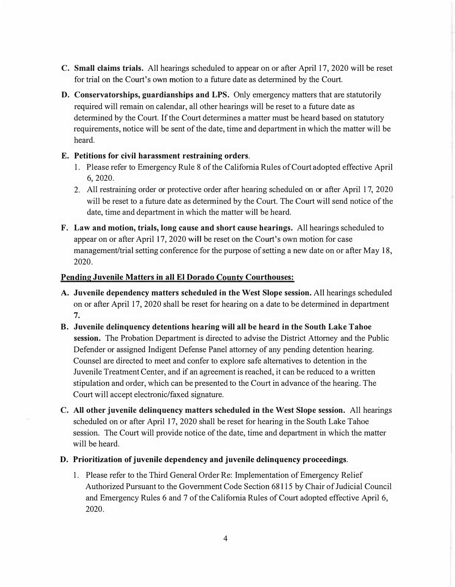- C. Small claims trials. All hearings scheduled to appear on or after April 17, 2020 will be reset for trial on the Court's own motion to a future date as determined by the Court.
- D. Conservatorships, guardianships and LPS. Only emergency matters that are statutorily required will remain on calendar, all other hearings will be reset to a future date as determined by the Court. If the Court determines a matter must be heard based on statutory requirements, notice will be sent of the date, time and department in which the matter will be heard.

## E. Petitions for civil harassment restraining orders.

- 1. Please refer to Emergency Rule 8 of the California Rules of Court adopted effective April 6, 2020.
- 2. All restraining order or protective order after hearing scheduled on or after April 17, 2020 will be reset to a future date as determined by the Court. The Court will send notice of the date, time and department in which the matter will be heard.
- F. Law and motion, trials, long cause and short cause hearings. All hearings scheduled to appear on or after April 17, 2020 will be reset on the Court's own motion for case management/trial setting conference for the purpose of setting a new date on or after May 18, 2020.

## Pending Juvenile Matters in all El Dorado County Courthouses:

- A. Juvenile dependency matters scheduled in the West Slope session. All hearings scheduled on or after Apri117, 2020 shall be reset for hearing on a date to be detetmined in depattment 7.
- B. Juvenile delinquency detentions hearing will all be heard in the South Lake Tahoe session. The Probation Department is directed to advise the District Attorney and the Public Defender or assigned Indigent Defense Panel attorney of any pending detention hearing. Counsel are directed to meet and confer to explore safe altematives to detention in the Juvenile Treatment Center, and if an agreement is reached, it can be reduced to a written stipulation and order, which can be presented to the Comt in advance of the hearing. The Court will accept electronic/faxed signature.
- C. All other juvenile delinquency matters scheduled in the West Slope session. All hearings scheduled on or after April 17, 2020 shall be reset for hearing in the South Lake Tahoe session. The Court will provide notice of the date, time and department in which the matter will be heard.
- D. Prioritization of juvenile dependency and juvenile delinquency proceedings.
	- 1. Please refer to the Third General Order Re: Implementation of Emergency Relief Authorized Pursuant to the Govemment Code Section 68115 by Chair of Judicial Council and Emergency Rules 6 and 7 of the Califomia Rules of Comt adopted effective April 6, 2020.